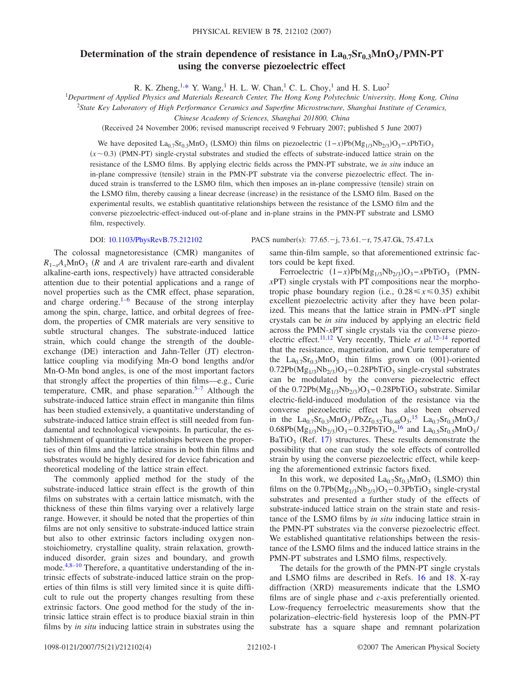## **Determination of the strain dependence of resistance in**  $\text{La}_{0.7}\text{Sr}_{0.3}\text{MnO}_3$ **/PMN-PT using the converse piezoelectric effect**

R. K. Zheng,  $1, *$  Y. Wang,  $^1$  H. L. W. Chan,  $^1$  C. L. Choy,  $^1$  and H. S. Luo<sup>2</sup>

<sup>1</sup>*Department of Applied Physics and Materials Research Center, The Hong Kong Polytechnic University, Hong Kong, China*

<sup>2</sup>*State Key Laboratory of High Performance Ceramics and Superfine Microstructure, Shanghai Institute of Ceramics,*

*Chinese Academy of Sciences, Shanghai 201800, China*

(Received 24 November 2006; revised manuscript received 9 February 2007; published 5 June 2007)

We have deposited La<sub>0.7</sub>Sr<sub>0.3</sub>MnO<sub>3</sub> (LSMO) thin films on piezoelectric (1-*x*)Pb(Mg<sub>1/3</sub>Nb<sub>2/3</sub>)O<sub>3</sub>-*x*PbTiO<sub>3</sub>  $(x \sim 0.3)$  (PMN-PT) single-crystal substrates and studied the effects of substrate-induced lattice strain on the resistance of the LSMO films. By applying electric fields across the PMN-PT substrate, we *in situ* induce an in-plane compressive (tensile) strain in the PMN-PT substrate via the converse piezoelectric effect. The induced strain is transferred to the LSMO film, which then imposes an in-plane compressive (tensile) strain on the LSMO film, thereby causing a linear decrease (increase) in the resistance of the LSMO film. Based on the experimental results, we establish quantitative relationships between the resistance of the LSMO film and the converse piezoelectric-effect-induced out-of-plane and in-plane strains in the PMN-PT substrate and LSMO film, respectively.

## DOI: [10.1103/PhysRevB.75.212102](http://dx.doi.org/10.1103/PhysRevB.75.212102)

The colossal magnetoresistance (CMR) manganites of  $R_{1-x}A_xMnO_3$  (*R* and *A* are trivalent rare-earth and divalent alkaline-earth ions, respectively) have attracted considerable attention due to their potential applications and a range of novel properties such as the CMR effect, phase separation, and charge ordering. $1-6$  $1-6$  Because of the strong interplay among the spin, charge, lattice, and orbital degrees of freedom, the properties of CMR materials are very sensitive to subtle structural changes. The substrate-induced lattice strain, which could change the strength of the doubleexchange (DE) interaction and Jahn-Teller (JT) electronlattice coupling via modifying Mn-O bond lengths and/or Mn-O-Mn bond angles, is one of the most important factors that strongly affect the properties of thin films—e.g., Curie temperature, CMR, and phase separation.<sup>5–[7](#page-3-4)</sup> Although the substrate-induced lattice strain effect in manganite thin films has been studied extensively, a quantitative understanding of substrate-induced lattice strain effect is still needed from fundamental and technological viewpoints. In particular, the establishment of quantitative relationships between the properties of thin films and the lattice strains in both thin films and substrates would be highly desired for device fabrication and theoretical modeling of the lattice strain effect.

The commonly applied method for the study of the substrate-induced lattice strain effect is the growth of thin films on substrates with a certain lattice mismatch, with the thickness of these thin films varying over a relatively large range. However, it should be noted that the properties of thin films are not only sensitive to substrate-induced lattice strain but also to other extrinsic factors including oxygen nonstoichiometry, crystalline quality, strain relaxation, growthinduced disorder, grain sizes and boundary, and growth mode. $4,8-10$  $4,8-10$  $4,8-10$  Therefore, a quantitative understanding of the intrinsic effects of substrate-induced lattice strain on the properties of thin films is still very limited since it is quite difficult to rule out the property changes resulting from these extrinsic factors. One good method for the study of the intrinsic lattice strain effect is to produce biaxial strain in thin films by *in situ* inducing lattice strain in substrates using the

PACS number(s): 77.65. - j, 73.61. - r, 75.47.Gk, 75.47.Lx

same thin-film sample, so that aforementioned extrinsic factors could be kept fixed.

Ferroelectric  $(1-x)Pb(Mg_{1/3}Nb_{2/3})O_3 - xPbTiO_3$  (PMN*xPT*) single crystals with PT compositions near the morphotropic phase boundary region (i.e.,  $0.28 \le x \le 0.35$ ) exhibit excellent piezoelectric activity after they have been polarized. This means that the lattice strain in PMN-*x*PT single crystals can be *in situ* induced by applying an electric field across the PMN-*x*PT single crystals via the converse piezo-electric effect.<sup>11,[12](#page-3-9)</sup> Very recently, Thiele *et al.*<sup>12[–14](#page-3-10)</sup> reported that the resistance, magnetization, and Curie temperature of the  $La_{0.7}Sr_{0.3}MnO_3$  thin films grown on (001)-oriented  $0.72Pb(Mg_{1/3}Nb_{2/3})O_3 - 0.28PbTiO_3$  single-crystal substrates can be modulated by the converse piezoelectric effect of the  $0.72Pb(Mg_{1/3}Nb_{2/3})O_3 - 0.28PbTiO_3$  substrate. Similar electric-field-induced modulation of the resistance via the converse piezoelectric effect has also been observed in the La<sub>0.7</sub>Sr<sub>0.3</sub>MnO<sub>3</sub>/PbZr<sub>0.52</sub>Ti<sub>0.48</sub>O<sub>3</sub>,<sup>[15](#page-3-11)</sup> La<sub>0.7</sub>Sr<sub>0.3</sub>MnO<sub>3</sub>/  $0.68Pb(Mg_{1/3}Nb_{2/3})O_3 - 0.32PbTiO_3,$ <sup>[16](#page-3-12)</sup> and La<sub>0.5</sub>Sr<sub>0.5</sub>MnO<sub>3</sub>/  $BaTiO<sub>3</sub>$  (Ref. [17](#page-3-13)) structures. These results demonstrate the possibility that one can study the sole effects of controlled strain by using the converse piezoelectric effect, while keeping the aforementioned extrinsic factors fixed.

In this work, we deposited  $La_{0.7}Sr_{0.3}MnO_3$  (LSMO) thin films on the  $0.7Pb(Mg_{1/3}Nb_{2/3})O_3 - 0.3PbTiO_3$  single-crystal substrates and presented a further study of the effects of substrate-induced lattice strain on the strain state and resistance of the LSMO films by *in situ* inducing lattice strain in the PMN-PT substrates via the converse piezoelectric effect. We established quantitative relationships between the resistance of the LSMO films and the induced lattice strains in the PMN-PT substrates and LSMO films, respectively.

The details for the growth of the PMN-PT single crystals and LSMO films are described in Refs. [16](#page-3-12) and [18.](#page-3-14) X-ray diffraction (XRD) measurements indicate that the LSMO films are of single phase and *c*-axis preferentially oriented. Low-frequency ferroelectric measurements show that the polarization–electric-field hysteresis loop of the PMN-PT substrate has a square shape and remnant polarization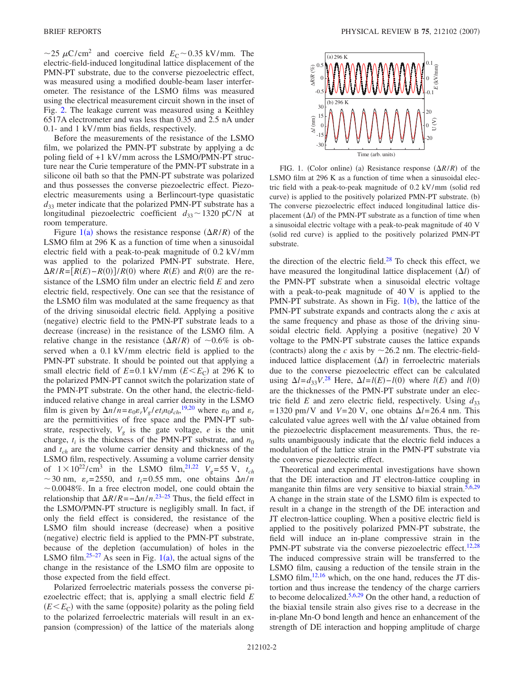$\sim$ 25  $\mu$ C/cm<sup>2</sup> and coercive field  $E_C \sim 0.35$  kV/mm. The electric-field-induced longitudinal lattice displacement of the PMN-PT substrate, due to the converse piezoelectric effect, was measured using a modified double-beam laser interferometer. The resistance of the LSMO films was measured using the electrical measurement circuit shown in the inset of Fig. [2.](#page-2-0) The leakage current was measured using a Keithley 6517A electrometer and was less than 0.35 and 2.5 nA under 0.1- and 1 kV/mm bias fields, respectively.

Before the measurements of the resistance of the LSMO film, we polarized the PMN-PT substrate by applying a dc poling field of +1 kV/mm across the LSMO/PMN-PT structure near the Curie temperature of the PMN-PT substrate in a silicone oil bath so that the PMN-PT substrate was polarized and thus possesses the converse piezoelectric effect. Piezoelectric measurements using a Berlincourt-type quasistatic  $d_{33}$  meter indicate that the polarized PMN-PT substrate has a longitudinal piezoelectric coefficient  $d_{33} \sim 1320 \text{ pC/N}$  at room temperature.

Figure  $1(a)$  $1(a)$  shows the resistance response  $(\Delta R/R)$  of the LSMO film at 296 K as a function of time when a sinusoidal electric field with a peak-to-peak magnitude of 0.2 kV/mm was applied to the polarized PMN-PT substrate. Here,  $\Delta R/R = [R(E) - R(0)]/R(0)$  where  $R(E)$  and  $R(0)$  are the resistance of the LSMO film under an electric field *E* and zero electric field, respectively. One can see that the resistance of the LSMO film was modulated at the same frequency as that of the driving sinusoidal electric field. Applying a positive (negative) electric field to the PMN-PT substrate leads to a decrease (increase) in the resistance of the LSMO film. A relative change in the resistance  $(\Delta R/R)$  of  $\sim 0.6\%$  is observed when a 0.1 kV/mm electric field is applied to the PMN-PT substrate. It should be pointed out that applying a small electric field of  $E=0.1 \text{ kV/mm } (E \leq E_C)$  at 296 K to the polarized PMN-PT cannot switch the polarization state of the PMN-PT substrate. On the other hand, the electric-fieldinduced relative change in areal carrier density in the LSMO film is given by  $\Delta n/n = \varepsilon_0 \varepsilon_r V_g / et_i n_0 t_{ch}$ , <sup>[19](#page-3-15)[,20](#page-3-16)</sup> where  $\varepsilon_0$  and  $\varepsilon_r$ are the permittivities of free space and the PMN-PT substrate, respectively,  $V_g$  is the gate voltage,  $e$  is the unit charge,  $t_i$  is the thickness of the PMN-PT substrate, and  $n_0$ and *tch* are the volume carrier density and thickness of the LSMO film, respectively. Assuming a volume carrier density of  $1 \times 10^{22} / \text{cm}^3$  in the LSMO film,<sup>21[,22](#page-3-18)</sup>  $V_g$ =55 V,  $t_{ch}$  $\sim$  30 nm,  $\varepsilon_r$ = 2550, and  $t_i$ = 0.55 mm, one obtains  $\Delta n/n$  $\sim$  0.0048%. In a free electron model, one could obtain the relationship that  $\Delta R/R = -\Delta n/n$ .<sup>[23](#page-3-19)[–25](#page-3-20)</sup> Thus, the field effect in the LSMO/PMN-PT structure is negligibly small. In fact, if only the field effect is considered, the resistance of the LSMO film should increase (decrease) when a positive (negative) electric field is applied to the PMN-PT substrate, because of the depletion (accumulation) of holes in the LSMO film.<sup>25-27</sup> As seen in Fig.  $1(a)$  $1(a)$ , the actual signs of the change in the resistance of the LSMO film are opposite to those expected from the field effect.

Polarized ferroelectric materials possess the converse piezoelectric effect; that is, applying a small electric field *E*  $(E \leq E_C)$  with the same (opposite) polarity as the poling field to the polarized ferroelectric materials will result in an expansion (compression) of the lattice of the materials along

<span id="page-1-0"></span>

FIG. 1. (Color online) (a) Resistance response  $(\Delta R/R)$  of the LSMO film at 296 K as a function of time when a sinusoidal electric field with a peak-to-peak magnitude of  $0.2$  kV/mm (solid red curve) is applied to the positively polarized PMN-PT substrate. (b) The converse piezoelectric effect induced longitudinal lattice displacement  $(\Delta l)$  of the PMN-PT substrate as a function of time when a sinusoidal electric voltage with a peak-to-peak magnitude of 40 V (solid red curve) is applied to the positively polarized PMN-PT substrate.

the direction of the electric field. $28$  To check this effect, we have measured the longitudinal lattice displacement  $(\Delta l)$  of the PMN-PT substrate when a sinusoidal electric voltage with a peak-to-peak magnitude of 40 V is applied to the PMN-PT substrate. As shown in Fig.  $1(b)$  $1(b)$ , the lattice of the PMN-PT substrate expands and contracts along the *c* axis at the same frequency and phase as those of the driving sinusoidal electric field. Applying a positive (negative) 20 V voltage to the PMN-PT substrate causes the lattice expands (contracts) along the *c* axis by  $\sim$  26.2 nm. The electric-fieldinduced lattice displacement  $(\Delta l)$  in ferroelectric materials due to the converse piezoelectric effect can be calculated using  $\Delta l = d_{33}V^{28}$  $\Delta l = d_{33}V^{28}$  $\Delta l = d_{33}V^{28}$  Here,  $\Delta l = l(E) - l(0)$  where  $l(E)$  and  $l(0)$ are the thicknesses of the PMN-PT substrate under an electric field *E* and zero electric field, respectively. Using  $d_{33}$  $= 1320$  pm/V and  $V = 20$  V, one obtains  $\Delta l = 26.4$  nm. This calculated value agrees well with the  $\Delta l$  value obtained from the piezoelectric displacement measurements. Thus, the results unambiguously indicate that the electric field induces a modulation of the lattice strain in the PMN-PT substrate via the converse piezoelectric effect.

Theoretical and experimental investigations have shown that the DE interaction and JT electron-lattice coupling in manganite thin films are very sensitive to biaxial strain.<sup>5,[6](#page-3-2)[,29](#page-3-23)</sup> A change in the strain state of the LSMO film is expected to result in a change in the strength of the DE interaction and JT electron-lattice coupling. When a positive electric field is applied to the positively polarized PMN-PT substrate, the field will induce an in-plane compressive strain in the PMN-PT substrate via the converse piezoelectric effect.<sup>12[,28](#page-3-22)</sup> The induced compressive strain will be transferred to the LSMO film, causing a reduction of the tensile strain in the LSMO film,  $12,16$  $12,16$  which, on the one hand, reduces the JT distortion and thus increase the tendency of the charge carriers to become delocalized.<sup>5,[6](#page-3-2)[,29](#page-3-23)</sup> On the other hand, a reduction of the biaxial tensile strain also gives rise to a decrease in the in-plane Mn-O bond length and hence an enhancement of the strength of DE interaction and hopping amplitude of charge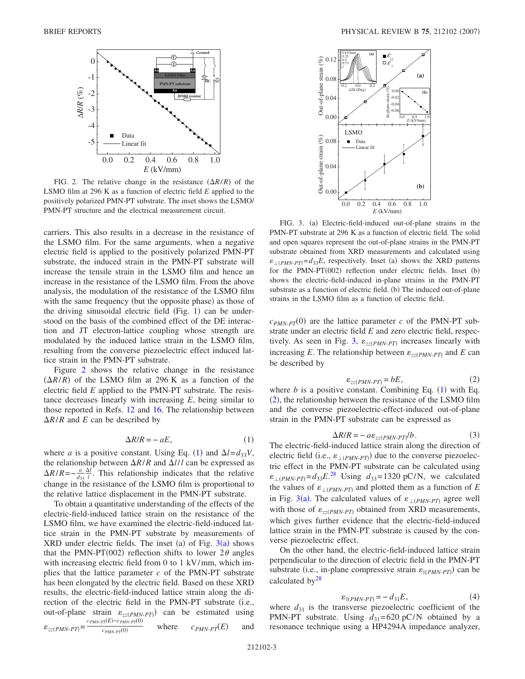<span id="page-2-0"></span>

FIG. 2. The relative change in the resistance  $(\Delta R/R)$  of the LSMO film at 296 K as a function of electric field *E* applied to the positively polarized PMN-PT substrate. The inset shows the LSMO/ PMN-PT structure and the electrical measurement circuit.

carriers. This also results in a decrease in the resistance of the LSMO film. For the same arguments, when a negative electric field is applied to the positively polarized PMN-PT substrate, the induced strain in the PMN-PT substrate will increase the tensile strain in the LSMO film and hence an increase in the resistance of the LSMO film. From the above analysis, the modulation of the resistance of the LSMO film with the same frequency (but the opposite phase) as those of the driving sinusoidal electric field (Fig. [1](#page-1-0)) can be understood on the basis of the combined effect of the DE interaction and JT electron-lattice coupling whose strength are modulated by the induced lattice strain in the LSMO film, resulting from the converse piezoelectric effect induced lattice strain in the PMN-PT substrate.

Figure [2](#page-2-0) shows the relative change in the resistance  $(\Delta R/R)$  of the LSMO film at 296 K as a function of the electric field *E* applied to the PMN-PT substrate. The resistance decreases linearly with increasing *E*, being similar to those reported in Refs. [12](#page-3-9) and [16.](#page-3-12) The relationship between  $\Delta R/R$  and *E* can be described by

$$
\Delta R/R = -aE,\tag{1}
$$

<span id="page-2-1"></span>where *a* is a positive constant. Using Eq. ([1](#page-2-1)) and  $\Delta l = d_{33}V$ , the relationship between  $\Delta R/R$  and  $\Delta l/l$  can be expressed as  $\Delta R/R = -\frac{a}{d_{33}}$  $\frac{\Delta l}{l}$ . This relationship indicates that the relative change in the resistance of the LSMO film is proportional to the relative lattice displacement in the PMN-PT substrate.

To obtain a quantitative understanding of the effects of the electric-field-induced lattice strain on the resistance of the LSMO film, we have examined the electric-field-induced lattice strain in the PMN-PT substrate by measurements of  $XRD$  under electric fields. The inset (a) of Fig.  $3(a)$  $3(a)$  shows that the PMN-PT(002) reflection shifts to lower  $2\theta$  angles with increasing electric field from 0 to 1 kV/mm, which implies that the lattice parameter *c* of the PMN-PT substrate has been elongated by the electric field. Based on these XRD results, the electric-field-induced lattice strain along the direction of the electric field in the PMN-PT substrate (i.e., out-of-plane strain  $\varepsilon_{zz(PMN-PT)}$  can be estimated using  $\varepsilon_{zz(PMN-PT)} = \frac{c_{PMN-PT}(E) - c_{PMN-PT}(0)}{c_{PMN-PT}(0)}$ where  $c_{PMN-PT}(E)$ and

<span id="page-2-2"></span>

FIG. 3. (a) Electric-field-induced out-of-plane strains in the PMN-PT substrate at 296 K as a function of electric field. The solid and open squares represent the out-of-plane strains in the PMN-PT substrate obtained from XRD measurements and calculated using  $\varepsilon_{\perp (PMN-PT)} = d_{33}E$ , respectively. Inset (a) shows the XRD patterns for the PMN-PT(002) reflection under electric fields. Inset (b) shows the electric-field-induced in-plane strains in the PMN-PT substrate as a function of electric field. (b) The induced out-of-plane strains in the LSMO film as a function of electric field.

 $c_{PMN-PT}(0)$  are the lattice parameter *c* of the PMN-PT substrate under an electric field *E* and zero electric field, respec-tively. As seen in Fig. [3,](#page-2-2)  $\varepsilon_{zz(PMN-PT)}$  increases linearly with increasing *E*. The relationship between  $\varepsilon_{zz(PMN-PT)}$  and *E* can be described by

$$
\varepsilon_{zz(PMN-PT)} = bE, \tag{2}
$$

<span id="page-2-3"></span>where  $b$  is a positive constant. Combining Eq.  $(1)$  $(1)$  $(1)$  with Eq. ([2](#page-2-3)), the relationship between the resistance of the LSMO film and the converse piezoelectric-effect-induced out-of-plane strain in the PMN-PT substrate can be expressed as

$$
\Delta R/R = -a\varepsilon_{zz(PMN-PT)} / b. \tag{3}
$$

<span id="page-2-5"></span>The electric-field-induced lattice strain along the direction of electric field (i.e.,  $\varepsilon_{\perp(PMN-PT)}$ ) due to the converse piezoelectric effect in the PMN-PT substrate can be calculated using  $\varepsilon_{\perp (PMN-PT)} = d_{33}E^{28}$  $\varepsilon_{\perp (PMN-PT)} = d_{33}E^{28}$  $\varepsilon_{\perp (PMN-PT)} = d_{33}E^{28}$  Using  $d_{33} = 1320$  pC/N, we calculated the values of  $\varepsilon_{\perp (PMN-PT)}$  and plotted them as a function of *E* in Fig. [3](#page-2-2)(a). The calculated values of  $\varepsilon_{\perp(PMN-PT)}$  agree well with those of  $\varepsilon_{zz(PMN-PT)}$  obtained from XRD measurements, which gives further evidence that the electric-field-induced lattice strain in the PMN-PT substrate is caused by the converse piezoelectric effect.

On the other hand, the electric-field-induced lattice strain perpendicular to the direction of electric field in the PMN-PT substrate (i.e., in-plane compressive strain  $\varepsilon_{\parallel (PMN-PT)}$ ) can be calculated  $by<sup>28</sup>$ 

$$
\varepsilon_{\parallel (PMN-PT)} = -d_{31}E,\tag{4}
$$

<span id="page-2-4"></span>where  $d_{31}$  is the transverse piezoelectric coefficient of the PMN-PT substrate. Using  $d_{31} = 620$  pC/N obtained by a resonance technique using a HP4294A impedance analyzer,